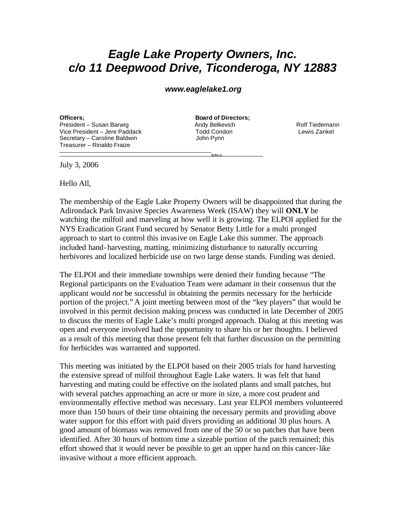## *Eagle Lake Property Owners, Inc. c/o 11 Deepwood Drive, Ticonderoga, NY 12883*

## *www.eaglelake1.org*

**Officers: Board of Directors**; President – Susan Barwig **Andy Belkevich** Andy Belkevich Rolf Tiedemann Vice President – Jere Paddack and Todd Condon and Lewis Zankel<br>Secretary – Caroline Baldwin and Tool John Pynn Secretary – Caroline Baldwin Treasurer – Rinaldo Fraize

<u>experiences and the contract of the contract of the contract of the contract of the contract of the contract of the contract of the contract of the contract of the contract of the contract of the contract of the contract </u>

July 3, 2006

Hello All,

 $\overline{a}$ 

The membership of the Eagle Lake Property Owners will be disappointed that during the Adirondack Park Invasive Species Awareness Week (ISAW) they will **ONLY** be watching the milfoil and marveling at how well it is growing. The ELPOI applied for the NYS Eradication Grant Fund secured by Senator Betty Little for a multi pronged approach to start to control this invasive on Eagle Lake this summer. The approach included hand-harvesting, matting, minimizing disturbance to naturally occurring herbivores and localized herbicide use on two large dense stands. Funding was denied.

The ELPOI and their immediate townships were denied their funding because "The Regional participants on the Evaluation Team were adamant in their consensus that the applicant would *not* be successful in obtaining the permits necessary for the herbicide portion of the project." A joint meeting between most of the "key players" that would be involved in this permit decision making process was conducted in late December of 2005 to discuss the merits of Eagle Lake's multi pronged approach. Dialog at this meeting was open and everyone involved had the opportunity to share his or her thoughts. I believed as a result of this meeting that those present felt that further discussion on the permitting for herbicides was warranted and supported.

This meeting was initiated by the ELPOI based on their 2005 trials for hand harvesting the extensive spread of milfoil throughout Eagle Lake waters. It was felt that hand harvesting and mating could be effective on the isolated plants and small patches, but with several patches approaching an acre or more in size, a more cost prudent and environmentally effective method was necessary. Last year ELPOI members volunteered more than 150 hours of their time obtaining the necessary permits and providing above water support for this effort with paid divers providing an additional 30 plus hours. A good amount of biomass was removed from one of the 50 or so patches that have been identified. After 30 hours of bottom time a sizeable portion of the patch remained; this effort showed that it would never be possible to get an upper hand on this cancer-like invasive without a more efficient approach.